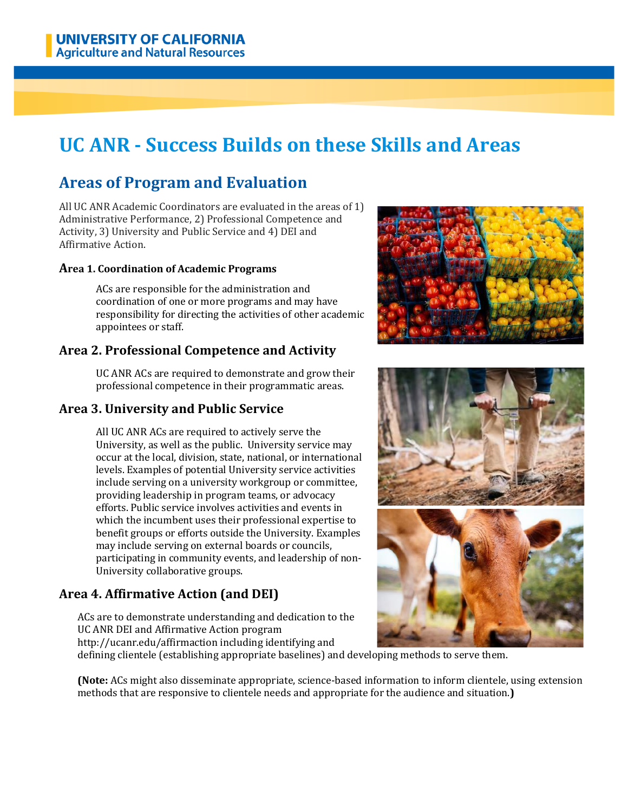# **UC ANR - Success Builds on these Skills and Areas**

# **Areas of Program and Evaluation**

All UC ANR Academic Coordinators are evaluated in the areas of 1) Administrative Performance, 2) Professional Competence and Activity, 3) University and Public Service and 4) DEI and Affirmative Action.

#### **Area 1. Coordination of Academic Programs**

ACs are responsible for the administration and coordination of one or more programs and may have responsibility for directing the activities of other academic appointees or staff.

# **Area 2. Professional Competence and Activity**

UC ANR ACs are required to demonstrate and grow their professional competence in their programmatic areas.

# **Area 3. University and Public Service**

All UC ANR ACs are required to actively serve the University, as well as the public. University service may occur at the local, division, state, national, or international levels. Examples of potential University service activities include serving on a university workgroup or committee, providing leadership in program teams, or advocacy efforts. Public service involves activities and events in which the incumbent uses their professional expertise to benefit groups or efforts outside the University. Examples may include serving on external boards or councils, participating in community events, and leadership of non-University collaborative groups.

# **Area 4. Affirmative Action (and DEI)**

ACs are to demonstrate understanding and dedication to the UC ANR DEI and Affirmative Action program http://ucanr.edu/affirmaction including identifying and





defining clientele (establishing appropriate baselines) and developing methods to serve them.

**(Note:** ACs might also disseminate appropriate, science-based information to inform clientele, using extension methods that are responsive to clientele needs and appropriate for the audience and situation.**)**